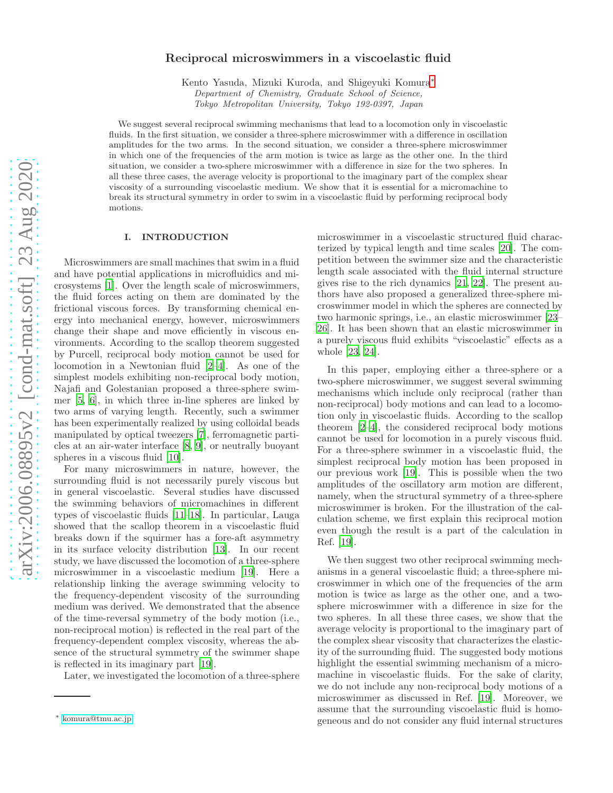## Reciprocal microswimmers in a viscoelastic fluid

Kento Yasuda, Mizuki Kuroda, and Shigeyuki Komura[∗](#page-0-0) Department of Chemistry, Graduate School of Science, Tokyo Metropolitan University, Tokyo 192-0397, Japan

We suggest several reciprocal swimming mechanisms that lead to a locomotion only in viscoelastic fluids. In the first situation, we consider a three-sphere microswimmer with a difference in oscillation amplitudes for the two arms. In the second situation, we consider a three-sphere microswimmer in which one of the frequencies of the arm motion is twice as large as the other one. In the third situation, we consider a two-sphere microswimmer with a difference in size for the two spheres. In all these three cases, the average velocity is proportional to the imaginary part of the complex shear viscosity of a surrounding viscoelastic medium. We show that it is essential for a micromachine to break its structural symmetry in order to swim in a viscoelastic fluid by performing reciprocal body motions.

#### I. INTRODUCTION

Microswimmers are small machines that swim in a fluid and have potential applications in microfluidics and microsystems [\[1](#page-6-0)]. Over the length scale of microswimmers, the fluid forces acting on them are dominated by the frictional viscous forces. By transforming chemical energy into mechanical energy, however, microswimmers change their shape and move efficiently in viscous environments. According to the scallop theorem suggested by Purcell, reciprocal body motion cannot be used for locomotion in a Newtonian fluid [\[2](#page-6-1)[–4\]](#page-6-2). As one of the simplest models exhibiting non-reciprocal body motion, Najafi and Golestanian proposed a three-sphere swimmer [\[5,](#page-6-3) [6\]](#page-6-4), in which three in-line spheres are linked by two arms of varying length. Recently, such a swimmer has been experimentally realized by using colloidal beads manipulated by optical tweezers [\[7\]](#page-6-5), ferromagnetic particles at an air-water interface [\[8,](#page-6-6) [9\]](#page-6-7), or neutrally buoyant spheres in a viscous fluid [\[10\]](#page-6-8).

For many microswimmers in nature, however, the surrounding fluid is not necessarily purely viscous but in general viscoelastic. Several studies have discussed the swimming behaviors of micromachines in different types of viscoelastic fluids [\[11](#page-6-9)[–18\]](#page-6-10). In particular, Lauga showed that the scallop theorem in a viscoelastic fluid breaks down if the squirmer has a fore-aft asymmetry in its surface velocity distribution [\[13\]](#page-6-11). In our recent study, we have discussed the locomotion of a three-sphere microswimmer in a viscoelastic medium [\[19\]](#page-6-12). Here a relationship linking the average swimming velocity to the frequency-dependent viscosity of the surrounding medium was derived. We demonstrated that the absence of the time-reversal symmetry of the body motion (i.e., non-reciprocal motion) is reflected in the real part of the frequency-dependent complex viscosity, whereas the absence of the structural symmetry of the swimmer shape is reflected in its imaginary part [\[19\]](#page-6-12).

Later, we investigated the locomotion of a three-sphere

microswimmer in a viscoelastic structured fluid characterized by typical length and time scales [\[20](#page-6-13)]. The competition between the swimmer size and the characteristic length scale associated with the fluid internal structure gives rise to the rich dynamics [\[21](#page-6-14), [22\]](#page-6-15). The present authors have also proposed a generalized three-sphere microswimmer model in which the spheres are connected by two harmonic springs, i.e., an elastic microswimmer [\[23](#page-6-16)– [26](#page-6-17)]. It has been shown that an elastic microswimmer in a purely viscous fluid exhibits "viscoelastic" effects as a whole [\[23,](#page-6-16) [24](#page-6-18)].

In this paper, employing either a three-sphere or a two-sphere microswimmer, we suggest several swimming mechanisms which include only reciprocal (rather than non-reciprocal) body motions and can lead to a locomotion only in viscoelastic fluids. According to the scallop theorem [\[2](#page-6-1)[–4\]](#page-6-2), the considered reciprocal body motions cannot be used for locomotion in a purely viscous fluid. For a three-sphere swimmer in a viscoelastic fluid, the simplest reciprocal body motion has been proposed in our previous work [\[19\]](#page-6-12). This is possible when the two amplitudes of the oscillatory arm motion are different, namely, when the structural symmetry of a three-sphere microswimmer is broken. For the illustration of the calculation scheme, we first explain this reciprocal motion even though the result is a part of the calculation in Ref. [\[19\]](#page-6-12).

We then suggest two other reciprocal swimming mechanisms in a general viscoelastic fluid; a three-sphere microswimmer in which one of the frequencies of the arm motion is twice as large as the other one, and a twosphere microswimmer with a difference in size for the two spheres. In all these three cases, we show that the average velocity is proportional to the imaginary part of the complex shear viscosity that characterizes the elasticity of the surrounding fluid. The suggested body motions highlight the essential swimming mechanism of a micromachine in viscoelastic fluids. For the sake of clarity, we do not include any non-reciprocal body motions of a microswimmer as discussed in Ref. [\[19\]](#page-6-12). Moreover, we assume that the surrounding viscoelastic fluid is homogeneous and do not consider any fluid internal structures

<span id="page-0-0"></span><sup>∗</sup> [komura@tmu.ac.jp](mailto:komura@tmu.ac.jp)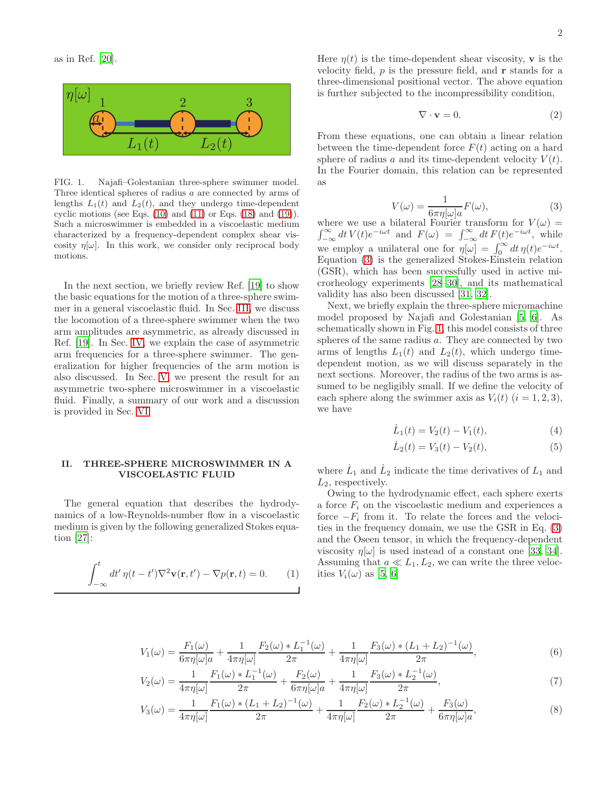

<span id="page-1-1"></span>FIG. 1. Najafi–Golestanian three-sphere swimmer model. Three identical spheres of radius a are connected by arms of lengths  $L_1(t)$  and  $L_2(t)$ , and they undergo time-dependent cyclic motions (see Eqs.  $(10)$  and  $(11)$  or Eqs.  $(18)$  and  $(19)$ ). Such a microswimmer is embedded in a viscoelastic medium characterized by a frequency-dependent complex shear viscosity  $\eta[\omega]$ . In this work, we consider only reciprocal body motions.

In the next section, we briefly review Ref. [\[19](#page-6-12)] to show the basic equations for the motion of a three-sphere swimmer in a general viscoelastic fluid. In Sec. [III,](#page-2-2) we discuss the locomotion of a three-sphere swimmer when the two arm amplitudes are asymmetric, as already discussed in Ref. [\[19\]](#page-6-12). In Sec. [IV,](#page-3-2) we explain the case of asymmetric arm frequencies for a three-sphere swimmer. The generalization for higher frequencies of the arm motion is also discussed. In Sec. [V,](#page-3-3) we present the result for an asymmetric two-sphere microswimmer in a viscoelastic fluid. Finally, a summary of our work and a discussion is provided in Sec. [VI.](#page-4-0)

### II. THREE-SPHERE MICROSWIMMER IN A VISCOELASTIC FLUID

The general equation that describes the hydrodynamics of a low-Reynolds-number flow in a viscoelastic medium is given by the following generalized Stokes equation [\[27](#page-6-19)]:

$$
\int_{-\infty}^{t} dt' \eta(t - t') \nabla^2 \mathbf{v}(\mathbf{r}, t') - \nabla p(\mathbf{r}, t) = 0.
$$
 (1)

Here  $\eta(t)$  is the time-dependent shear viscosity, **v** is the velocity field,  $p$  is the pressure field, and  $\bf{r}$  stands for a three-dimensional positional vector. The above equation is further subjected to the incompressibility condition,

$$
\nabla \cdot \mathbf{v} = 0. \tag{2}
$$

From these equations, one can obtain a linear relation between the time-dependent force  $F(t)$  acting on a hard sphere of radius a and its time-dependent velocity  $V(t)$ . In the Fourier domain, this relation can be represented as

<span id="page-1-0"></span>
$$
V(\omega) = \frac{1}{6\pi\eta[\omega]a} F(\omega),\tag{3}
$$

where we use a bilateral Fourier transform for  $V(\omega) =$  $\int_{-\infty}^{\infty} dt V(t)e^{-i\omega t}$  and  $F(\omega) = \int_{-\infty}^{\infty} dt F(t)e^{-i\omega t}$ , while we employ a unilateral one for  $\eta[\omega] = \int_0^\infty dt \, \eta(t) e^{-i\omega t}$ . Equation [\(3\)](#page-1-0) is the generalized Stokes-Einstein relation (GSR), which has been successfully used in active microrheology experiments [\[28](#page-6-20)[–30\]](#page-6-21), and its mathematical validity has also been discussed [\[31](#page-6-22), [32](#page-6-23)].

Next, we briefly explain the three-sphere micromachine model proposed by Najafi and Golestanian [\[5,](#page-6-3) [6](#page-6-4)]. As schematically shown in Fig. [1,](#page-1-1) this model consists of three spheres of the same radius a. They are connected by two arms of lengths  $L_1(t)$  and  $L_2(t)$ , which undergo timedependent motion, as we will discuss separately in the next sections. Moreover, the radius of the two arms is assumed to be negligibly small. If we define the velocity of each sphere along the swimmer axis as  $V_i(t)$   $(i = 1, 2, 3)$ , we have

$$
\dot{L}_1(t) = V_2(t) - V_1(t),\tag{4}
$$

<span id="page-1-6"></span><span id="page-1-5"></span><span id="page-1-4"></span><span id="page-1-3"></span><span id="page-1-2"></span>
$$
\dot{L}_2(t) = V_3(t) - V_2(t),\tag{5}
$$

where  $\dot{L}_1$  and  $\dot{L}_2$  indicate the time derivatives of  $L_1$  and  $L_2$ , respectively.

Owing to the hydrodynamic effect, each sphere exerts a force  $F_i$  on the viscoelastic medium and experiences a force  $-F_i$  from it. To relate the forces and the velocities in the frequency domain, we use the GSR in Eq. [\(3\)](#page-1-0) and the Oseen tensor, in which the frequency-dependent viscosity  $\eta[\omega]$  is used instead of a constant one [\[33](#page-6-24), [34\]](#page-6-25). Assuming that  $a \ll L_1, L_2$ , we can write the three velocities  $V_i(\omega)$  as [\[5,](#page-6-3) [6\]](#page-6-4)

$$
V_1(\omega) = \frac{F_1(\omega)}{6\pi\eta[\omega]a} + \frac{1}{4\pi\eta[\omega]} \frac{F_2(\omega) * L_1^{-1}(\omega)}{2\pi} + \frac{1}{4\pi\eta[\omega]} \frac{F_3(\omega) * (L_1 + L_2)^{-1}(\omega)}{2\pi},
$$
(6)

$$
V_2(\omega) = \frac{1}{4\pi\eta[\omega]} \frac{F_1(\omega) * L_1^{-1}(\omega)}{2\pi} + \frac{F_2(\omega)}{6\pi\eta[\omega]a} + \frac{1}{4\pi\eta[\omega]} \frac{F_3(\omega) * L_2^{-1}(\omega)}{2\pi},
$$
\n(7)

$$
V_3(\omega) = \frac{1}{4\pi\eta[\omega]} \frac{F_1(\omega) * (L_1 + L_2)^{-1}(\omega)}{2\pi} + \frac{1}{4\pi\eta[\omega]} \frac{F_2(\omega) * L_2^{-1}(\omega)}{2\pi} + \frac{F_3(\omega)}{6\pi\eta[\omega]a},
$$
(8)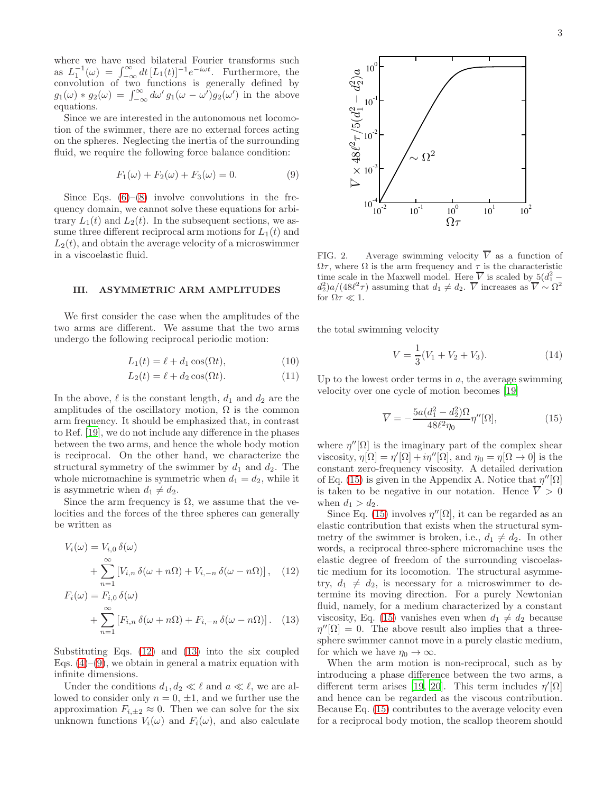where we have used bilateral Fourier transforms such as  $L_1^{-1}(\omega) = \int_{-\infty}^{\infty} dt \, [L_1(t)]^{-1} e^{-i\omega t}$ . Furthermore, the convolution of two functions is generally defined by  $g_1(\omega) * g_2(\omega) = \int_{-\infty}^{\infty} d\omega' g_1(\omega - \omega') g_2(\omega')$  in the above equations.

Since we are interested in the autonomous net locomotion of the swimmer, there are no external forces acting on the spheres. Neglecting the inertia of the surrounding fluid, we require the following force balance condition:

<span id="page-2-5"></span>
$$
F_1(\omega) + F_2(\omega) + F_3(\omega) = 0.
$$
\n(9)

Since Eqs.  $(6)$ – $(8)$  involve convolutions in the frequency domain, we cannot solve these equations for arbitrary  $L_1(t)$  and  $L_2(t)$ . In the subsequent sections, we assume three different reciprocal arm motions for  $L_1(t)$  and  $L_2(t)$ , and obtain the average velocity of a microswimmer in a viscoelastic fluid.

## <span id="page-2-2"></span>III. ASYMMETRIC ARM AMPLITUDES

We first consider the case when the amplitudes of the two arms are different. We assume that the two arms undergo the following reciprocal periodic motion:

$$
L_1(t) = \ell + d_1 \cos(\Omega t),\tag{10}
$$

$$
L_2(t) = \ell + d_2 \cos(\Omega t). \tag{11}
$$

In the above,  $\ell$  is the constant length,  $d_1$  and  $d_2$  are the amplitudes of the oscillatory motion,  $\Omega$  is the common arm frequency. It should be emphasized that, in contrast to Ref. [\[19\]](#page-6-12), we do not include any difference in the phases between the two arms, and hence the whole body motion is reciprocal. On the other hand, we characterize the structural symmetry of the swimmer by  $d_1$  and  $d_2$ . The whole micromachine is symmetric when  $d_1 = d_2$ , while it is asymmetric when  $d_1 \neq d_2$ .

Since the arm frequency is  $\Omega$ , we assume that the velocities and the forces of the three spheres can generally be written as

$$
V_i(\omega) = V_{i,0} \,\delta(\omega)
$$
  
+ 
$$
\sum_{n=1}^{\infty} \left[ V_{i,n} \,\delta(\omega + n\Omega) + V_{i,-n} \,\delta(\omega - n\Omega) \right], \quad (12)
$$

$$
F_i(\omega) = F_{i,0} \,\delta(\omega)
$$
  
+ 
$$
\sum_{n=1}^{\infty} \left[ F_{i,n} \,\delta(\omega + n\Omega) + F_{i,-n} \,\delta(\omega - n\Omega) \right]. \tag{13}
$$

Substituting Eqs. [\(12\)](#page-2-3) and [\(13\)](#page-2-4) into the six coupled Eqs.  $(4)$ – $(9)$ , we obtain in general a matrix equation with infinite dimensions.

Under the conditions  $d_1, d_2 \ll \ell$  and  $a \ll \ell$ , we are allowed to consider only  $n = 0, \pm 1$ , and we further use the approximation  $F_{i,\pm 2} \approx 0$ . Then we can solve for the six unknown functions  $V_i(\omega)$  and  $F_i(\omega)$ , and also calculate



<span id="page-2-7"></span>FIG. 2. Average swimming velocity  $\overline{V}$  as a function of  $\Omega\tau,$  where  $\Omega$  is the arm frequency and  $\tau$  is the characteristic time scale in the Maxwell model. Here  $\overline{V}$  is scaled by  $5(d_1^2$  $d_2^2$ )a/(48 $\ell^2 \tau$ ) assuming that  $d_1 \neq d_2$ .  $\overline{V}$  increases as  $\overline{V} \sim \Omega^2$ for  $\Omega \tau \ll 1$ .

the total swimming velocity

$$
V = \frac{1}{3}(V_1 + V_2 + V_3). \tag{14}
$$

<span id="page-2-1"></span><span id="page-2-0"></span>Up to the lowest order terms in  $a$ , the average swimming velocity over one cycle of motion becomes [\[19\]](#page-6-12)

<span id="page-2-6"></span>
$$
\overline{V} = -\frac{5a(d_1^2 - d_2^2)\Omega}{48\ell^2 \eta_0} \eta''[\Omega],\tag{15}
$$

where  $\eta''[\Omega]$  is the imaginary part of the complex shear viscosity,  $\eta[\Omega] = \eta'[\Omega] + i\eta''[\Omega]$ , and  $\eta_0 = \eta[\Omega \to 0]$  is the constant zero-frequency viscosity. A detailed derivation of Eq. [\(15\)](#page-2-6) is given in the Appendix A. Notice that  $\eta''[\Omega]$ is taken to be negative in our notation. Hence  $\overline{V} > 0$ when  $d_1 > d_2$ .

<span id="page-2-3"></span>Since Eq. [\(15\)](#page-2-6) involves  $\eta''[\Omega]$ , it can be regarded as an elastic contribution that exists when the structural symmetry of the swimmer is broken, i.e.,  $d_1 \neq d_2$ . In other words, a reciprocal three-sphere micromachine uses the elastic degree of freedom of the surrounding viscoelastic medium for its locomotion. The structural asymmetry,  $d_1 \neq d_2$ , is necessary for a microswimmer to determine its moving direction. For a purely Newtonian fluid, namely, for a medium characterized by a constant viscosity, Eq. [\(15\)](#page-2-6) vanishes even when  $d_1 \neq d_2$  because  $\eta''[\Omega] = 0$ . The above result also implies that a threesphere swimmer cannot move in a purely elastic medium, for which we have  $\eta_0 \to \infty$ .

<span id="page-2-4"></span>When the arm motion is non-reciprocal, such as by introducing a phase difference between the two arms, a different term arises [\[19](#page-6-12), [20](#page-6-13)]. This term includes  $\eta'[\Omega]$ and hence can be regarded as the viscous contribution. Because Eq. [\(15\)](#page-2-6) contributes to the average velocity even for a reciprocal body motion, the scallop theorem should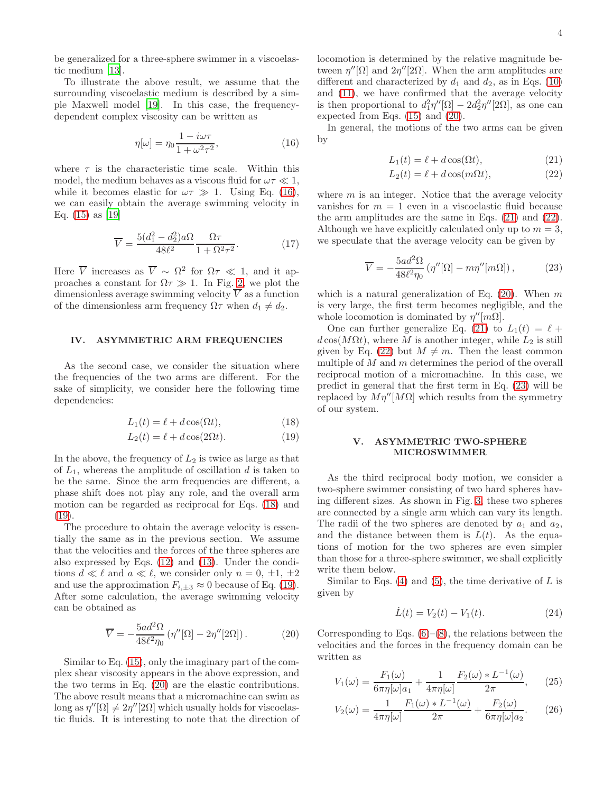be generalized for a three-sphere swimmer in a viscoelastic medium [\[13](#page-6-11)].

To illustrate the above result, we assume that the surrounding viscoelastic medium is described by a simple Maxwell model [\[19\]](#page-6-12). In this case, the frequencydependent complex viscosity can be written as

<span id="page-3-4"></span>
$$
\eta[\omega] = \eta_0 \frac{1 - i\omega\tau}{1 + \omega^2 \tau^2},\tag{16}
$$

where  $\tau$  is the characteristic time scale. Within this model, the medium behaves as a viscous fluid for  $\omega \tau \ll 1$ , while it becomes elastic for  $\omega \tau \gg 1$ . Using Eq. [\(16\)](#page-3-4), we can easily obtain the average swimming velocity in Eq. [\(15\)](#page-2-6) as [\[19](#page-6-12)]

$$
\overline{V} = \frac{5(d_1^2 - d_2^2)a\Omega}{48\ell^2} \frac{\Omega\tau}{1 + \Omega^2\tau^2}.
$$
 (17)

Here  $\overline{V}$  increases as  $\overline{V} \sim \Omega^2$  for  $\Omega \tau \ll 1$ , and it approaches a constant for  $\Omega \tau \gg 1$ . In Fig. [2,](#page-2-7) we plot the dimensionless average swimming velocity  $\overline{V}$  as a function of the dimensionless arm frequency  $\Omega \tau$  when  $d_1 \neq d_2$ .

## <span id="page-3-2"></span>IV. ASYMMETRIC ARM FREQUENCIES

As the second case, we consider the situation where the frequencies of the two arms are different. For the sake of simplicity, we consider here the following time dependencies:

$$
L_1(t) = \ell + d\cos(\Omega t),\tag{18}
$$

$$
L_2(t) = \ell + d\cos(2\Omega t). \tag{19}
$$

In the above, the frequency of  $L_2$  is twice as large as that of  $L_1$ , whereas the amplitude of oscillation d is taken to be the same. Since the arm frequencies are different, a phase shift does not play any role, and the overall arm motion can be regarded as reciprocal for Eqs. [\(18\)](#page-3-0) and [\(19\)](#page-3-1).

The procedure to obtain the average velocity is essentially the same as in the previous section. We assume that the velocities and the forces of the three spheres are also expressed by Eqs. [\(12\)](#page-2-3) and [\(13\)](#page-2-4). Under the conditions  $d \ll \ell$  and  $a \ll \ell$ , we consider only  $n = 0, \pm 1, \pm 2$ and use the approximation  $F_{i,\pm 3} \approx 0$  because of Eq. [\(19\)](#page-3-1). After some calculation, the average swimming velocity can be obtained as

$$
\overline{V} = -\frac{5ad^2\Omega}{48\ell^2\eta_0} \left( \eta''[\Omega] - 2\eta''[2\Omega] \right). \tag{20}
$$

Similar to Eq. [\(15\)](#page-2-6), only the imaginary part of the complex shear viscosity appears in the above expression, and the two terms in Eq. [\(20\)](#page-3-5) are the elastic contributions. The above result means that a micromachine can swim as long as  $\eta''[\Omega] \neq 2\eta''[2\Omega]$  which usually holds for viscoelastic fluids. It is interesting to note that the direction of locomotion is determined by the relative magnitude between  $\eta''[\Omega]$  and  $2\eta''[2\Omega]$ . When the arm amplitudes are different and characterized by  $d_1$  and  $d_2$ , as in Eqs. [\(10\)](#page-2-0) and [\(11\)](#page-2-1), we have confirmed that the average velocity is then proportional to  $d_1^2 \eta''[\Omega] - 2d_2^2 \eta''[2\Omega]$ , as one can expected from Eqs. [\(15\)](#page-2-6) and [\(20\)](#page-3-5).

In general, the motions of the two arms can be given by

<span id="page-3-6"></span>
$$
L_1(t) = \ell + d\cos(\Omega t),\tag{21}
$$

<span id="page-3-7"></span>
$$
L_2(t) = \ell + d\cos(m\Omega t),\tag{22}
$$

where  $m$  is an integer. Notice that the average velocity vanishes for  $m = 1$  even in a viscoelastic fluid because the arm amplitudes are the same in Eqs. [\(21\)](#page-3-6) and [\(22\)](#page-3-7). Although we have explicitly calculated only up to  $m = 3$ , we speculate that the average velocity can be given by

<span id="page-3-8"></span>
$$
\overline{V} = -\frac{5ad^2\Omega}{48\ell^2\eta_0} \left( \eta''[\Omega] - m\eta''[m\Omega] \right),\tag{23}
$$

which is a natural generalization of Eq.  $(20)$ . When m is very large, the first term becomes negligible, and the whole locomotion is dominated by  $\eta''[m\Omega]$ .

One can further generalize Eq. [\(21\)](#page-3-6) to  $L_1(t) = \ell +$  $d\cos(M\Omega t)$ , where M is another integer, while  $L_2$  is still given by Eq. [\(22\)](#page-3-7) but  $M \neq m$ . Then the least common multiple of  $M$  and  $m$  determines the period of the overall reciprocal motion of a micromachine. In this case, we predict in general that the first term in Eq. [\(23\)](#page-3-8) will be replaced by  $M\eta''[M\Omega]$  which results from the symmetry of our system.

### <span id="page-3-3"></span>V. ASYMMETRIC TWO-SPHERE MICROSWIMMER

<span id="page-3-1"></span><span id="page-3-0"></span>As the third reciprocal body motion, we consider a two-sphere swimmer consisting of two hard spheres having different sizes. As shown in Fig. [3,](#page-4-1) these two spheres are connected by a single arm which can vary its length. The radii of the two spheres are denoted by  $a_1$  and  $a_2$ , and the distance between them is  $L(t)$ . As the equations of motion for the two spheres are even simpler than those for a three-sphere swimmer, we shall explicitly write them below.

Similar to Eqs.  $(4)$  and  $(5)$ , the time derivative of L is given by

$$
\dot{L}(t) = V_2(t) - V_1(t). \tag{24}
$$

<span id="page-3-5"></span>Corresponding to Eqs.  $(6)$ – $(8)$ , the relations between the velocities and the forces in the frequency domain can be written as

$$
V_1(\omega) = \frac{F_1(\omega)}{6\pi\eta[\omega]a_1} + \frac{1}{4\pi\eta[\omega]} \frac{F_2(\omega) * L^{-1}(\omega)}{2\pi},
$$
 (25)

$$
V_2(\omega) = \frac{1}{4\pi\eta[\omega]} \frac{F_1(\omega) * L^{-1}(\omega)}{2\pi} + \frac{F_2(\omega)}{6\pi\eta[\omega]a_2}.
$$
 (26)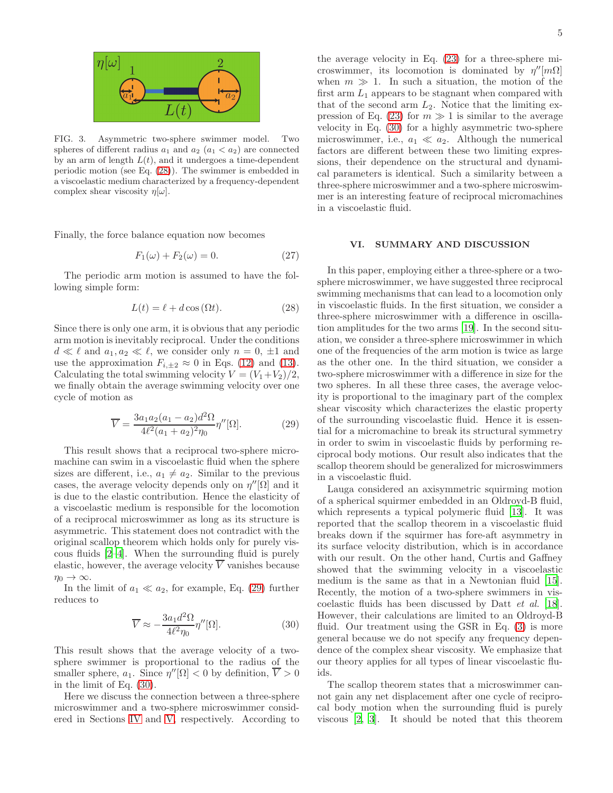

<span id="page-4-1"></span>FIG. 3. Asymmetric two-sphere swimmer model. Two spheres of different radius  $a_1$  and  $a_2$   $(a_1 < a_2)$  are connected by an arm of length  $L(t)$ , and it undergoes a time-dependent periodic motion (see Eq. [\(28\)](#page-4-2)). The swimmer is embedded in a viscoelastic medium characterized by a frequency-dependent complex shear viscosity  $\eta[\omega]$ .

Finally, the force balance equation now becomes

$$
F_1(\omega) + F_2(\omega) = 0.
$$
\n<sup>(27)</sup>

The periodic arm motion is assumed to have the following simple form:

$$
L(t) = \ell + d\cos(\Omega t). \tag{28}
$$

Since there is only one arm, it is obvious that any periodic arm motion is inevitably reciprocal. Under the conditions  $d \ll \ell$  and  $a_1, a_2 \ll \ell$ , we consider only  $n = 0, \pm 1$  and use the approximation  $F_{i,\pm 2} \approx 0$  in Eqs. [\(12\)](#page-2-3) and [\(13\)](#page-2-4). Calculating the total swimming velocity  $V = (V_1 + V_2)/2$ , we finally obtain the average swimming velocity over one cycle of motion as

$$
\overline{V} = \frac{3a_1a_2(a_1 - a_2)d^2\Omega}{4\ell^2(a_1 + a_2)^2\eta_0} \eta''[\Omega].
$$
 (29)

This result shows that a reciprocal two-sphere micromachine can swim in a viscoelastic fluid when the sphere sizes are different, i.e.,  $a_1 \neq a_2$ . Similar to the previous cases, the average velocity depends only on  $\eta''[\Omega]$  and it is due to the elastic contribution. Hence the elasticity of a viscoelastic medium is responsible for the locomotion of a reciprocal microswimmer as long as its structure is asymmetric. This statement does not contradict with the original scallop theorem which holds only for purely viscous fluids [\[2](#page-6-1)[–4\]](#page-6-2). When the surrounding fluid is purely elastic, however, the average velocity  $\overline{V}$  vanishes because  $\eta_0 \to \infty$ .

In the limit of  $a_1 \ll a_2$ , for example, Eq. [\(29\)](#page-4-3) further reduces to

$$
\overline{V} \approx -\frac{3a_1 d^2 \Omega}{4\ell^2 \eta_0} \eta''[\Omega]. \tag{30}
$$

This result shows that the average velocity of a twosphere swimmer is proportional to the radius of the smaller sphere,  $a_1$ . Since  $\eta''[\Omega] < 0$  by definition,  $\overline{V} > 0$ in the limit of Eq. [\(30\)](#page-4-4).

Here we discuss the connection between a three-sphere microswimmer and a two-sphere microswimmer considered in Sections [IV](#page-3-2) and [V,](#page-3-3) respectively. According to

the average velocity in Eq. [\(23\)](#page-3-8) for a three-sphere microswimmer, its locomotion is dominated by  $\eta^{\prime\prime}[m\Omega]$ when  $m \gg 1$ . In such a situation, the motion of the first arm  $L_1$  appears to be stagnant when compared with that of the second arm  $L_2$ . Notice that the limiting ex-pression of Eq. [\(23\)](#page-3-8) for  $m \gg 1$  is similar to the average velocity in Eq. [\(30\)](#page-4-4) for a highly asymmetric two-sphere microswimmer, i.e.,  $a_1 \ll a_2$ . Although the numerical factors are different between these two limiting expressions, their dependence on the structural and dynamical parameters is identical. Such a similarity between a three-sphere microswimmer and a two-sphere microswimmer is an interesting feature of reciprocal micromachines in a viscoelastic fluid.

#### <span id="page-4-0"></span>VI. SUMMARY AND DISCUSSION

<span id="page-4-2"></span>In this paper, employing either a three-sphere or a twosphere microswimmer, we have suggested three reciprocal swimming mechanisms that can lead to a locomotion only in viscoelastic fluids. In the first situation, we consider a three-sphere microswimmer with a difference in oscillation amplitudes for the two arms [\[19](#page-6-12)]. In the second situation, we consider a three-sphere microswimmer in which one of the frequencies of the arm motion is twice as large as the other one. In the third situation, we consider a two-sphere microswimmer with a difference in size for the two spheres. In all these three cases, the average velocity is proportional to the imaginary part of the complex shear viscosity which characterizes the elastic property of the surrounding viscoelastic fluid. Hence it is essential for a micromachine to break its structural symmetry in order to swim in viscoelastic fluids by performing reciprocal body motions. Our result also indicates that the scallop theorem should be generalized for microswimmers in a viscoelastic fluid.

<span id="page-4-3"></span>Lauga considered an axisymmetric squirming motion of a spherical squirmer embedded in an Oldroyd-B fluid, which represents a typical polymeric fluid [\[13](#page-6-11)]. It was reported that the scallop theorem in a viscoelastic fluid breaks down if the squirmer has fore-aft asymmetry in its surface velocity distribution, which is in accordance with our result. On the other hand, Curtis and Gaffney showed that the swimming velocity in a viscoelastic medium is the same as that in a Newtonian fluid [\[15\]](#page-6-26). Recently, the motion of a two-sphere swimmers in viscoelastic fluids has been discussed by Datt et al. [\[18\]](#page-6-10). However, their calculations are limited to an Oldroyd-B fluid. Our treatment using the GSR in Eq. [\(3\)](#page-1-0) is more general because we do not specify any frequency dependence of the complex shear viscosity. We emphasize that our theory applies for all types of linear viscoelastic fluids.

<span id="page-4-4"></span>The scallop theorem states that a microswimmer cannot gain any net displacement after one cycle of reciprocal body motion when the surrounding fluid is purely viscous [\[2,](#page-6-1) [3](#page-6-27)]. It should be noted that this theorem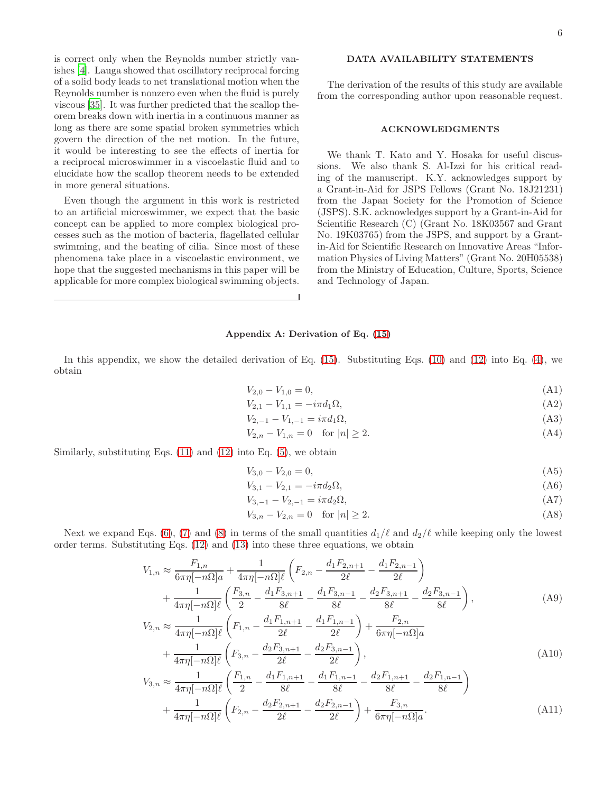is correct only when the Reynolds number strictly vanishes [\[4\]](#page-6-2). Lauga showed that oscillatory reciprocal forcing of a solid body leads to net translational motion when the Reynolds number is nonzero even when the fluid is purely viscous [\[35\]](#page-6-28). It was further predicted that the scallop theorem breaks down with inertia in a continuous manner as long as there are some spatial broken symmetries which govern the direction of the net motion. In the future, it would be interesting to see the effects of inertia for a reciprocal microswimmer in a viscoelastic fluid and to elucidate how the scallop theorem needs to be extended in more general situations.

Even though the argument in this work is restricted to an artificial microswimmer, we expect that the basic concept can be applied to more complex biological processes such as the motion of bacteria, flagellated cellular swimming, and the beating of cilia. Since most of these phenomena take place in a viscoelastic environment, we hope that the suggested mechanisms in this paper will be applicable for more complex biological swimming objects.

# DATA AVAILABILITY STATEMENTS

The derivation of the results of this study are available from the corresponding author upon reasonable request.

#### ACKNOWLEDGMENTS

We thank T. Kato and Y. Hosaka for useful discussions. We also thank S. Al-Izzi for his critical reading of the manuscript. K.Y. acknowledges support by a Grant-in-Aid for JSPS Fellows (Grant No. 18J21231) from the Japan Society for the Promotion of Science (JSPS). S.K. acknowledges support by a Grant-in-Aid for Scientific Research (C) (Grant No. 18K03567 and Grant No. 19K03765) from the JSPS, and support by a Grantin-Aid for Scientific Research on Innovative Areas "Information Physics of Living Matters" (Grant No. 20H05538) from the Ministry of Education, Culture, Sports, Science and Technology of Japan.

#### Appendix A: Derivation of Eq. [\(15\)](#page-2-6)

In this appendix, we show the detailed derivation of Eq.  $(15)$ . Substituting Eqs.  $(10)$  and  $(12)$  into Eq.  $(4)$ , we obtain

$$
V_{2,0} - V_{1,0} = 0,\t\t(A1)
$$

$$
V_{2,1} - V_{1,1} = -i\pi d_1 \Omega,\tag{A2}
$$

$$
V_{2,-1} - V_{1,-1} = i\pi d_1 \Omega,
$$
\n(A3)

<span id="page-5-0"></span>
$$
V_{2,n} - V_{1,n} = 0 \quad \text{for } |n| \ge 2. \tag{A4}
$$

Similarly, substituting Eqs.  $(11)$  and  $(12)$  into Eq.  $(5)$ , we obtain

$$
V_{3,0} - V_{2,0} = 0,\t\t(A5)
$$

<span id="page-5-1"></span>
$$
V_{3,1} - V_{2,1} = -i\pi d_2 \Omega,\tag{A6}
$$

$$
V_{3,-1} - V_{2,-1} = i\pi d_2 \Omega,\tag{A7}
$$

<span id="page-5-4"></span><span id="page-5-3"></span><span id="page-5-2"></span>
$$
V_{3,n} - V_{2,n} = 0 \quad \text{for } |n| \ge 2. \tag{A8}
$$

Next we expand Eqs. [\(6\)](#page-1-2), [\(7\)](#page-1-6) and [\(8\)](#page-1-3) in terms of the small quantities  $d_1/\ell$  and  $d_2/\ell$  while keeping only the lowest order terms. Substituting Eqs. [\(12\)](#page-2-3) and [\(13\)](#page-2-4) into these three equations, we obtain

$$
V_{1,n} \approx \frac{F_{1,n}}{6\pi\eta[-n\Omega]a} + \frac{1}{4\pi\eta[-n\Omega]l} \left( F_{2,n} - \frac{d_1 F_{2,n+1}}{2\ell} - \frac{d_1 F_{2,n-1}}{2\ell} \right) + \frac{1}{4\pi\eta[-n\Omega]l} \left( \frac{F_{3,n}}{2} - \frac{d_1 F_{3,n+1}}{8\ell} - \frac{d_1 F_{3,n-1}}{8\ell} - \frac{d_2 F_{3,n+1}}{8\ell} - \frac{d_2 F_{3,n-1}}{8\ell} \right),
$$
(A9)  

$$
V_{2,n} \approx \frac{1}{4\pi\eta[-n\Omega]l} \left( F_{1,n} - \frac{d_1 F_{1,n+1}}{2\ell} - \frac{d_1 F_{1,n-1}}{2\ell} \right) + \frac{F_{2,n}}{6\pi\eta[-n\Omega]a} + \frac{1}{4\pi\eta[-n\Omega]l} \left( F_{3,n} - \frac{d_2 F_{3,n+1}}{2\ell} - \frac{d_2 F_{3,n-1}}{2\ell} \right),
$$
(A10)

$$
V_{3,n} \approx \frac{1}{4\pi\eta[-n\Omega]\ell} \left( \frac{F_{1,n}}{2} - \frac{d_1 F_{1,n+1}}{8\ell} - \frac{d_1 F_{1,n-1}}{8\ell} - \frac{d_2 F_{1,n+1}}{8\ell} - \frac{d_2 F_{1,n-1}}{8\ell} \right) + \frac{1}{4\pi\eta[-n\Omega]\ell} \left( F_{2,n} - \frac{d_2 F_{2,n+1}}{2\ell} - \frac{d_2 F_{2,n-1}}{2\ell} \right) + \frac{F_{3,n}}{6\pi\eta[-n\Omega]a}.
$$
(A11)